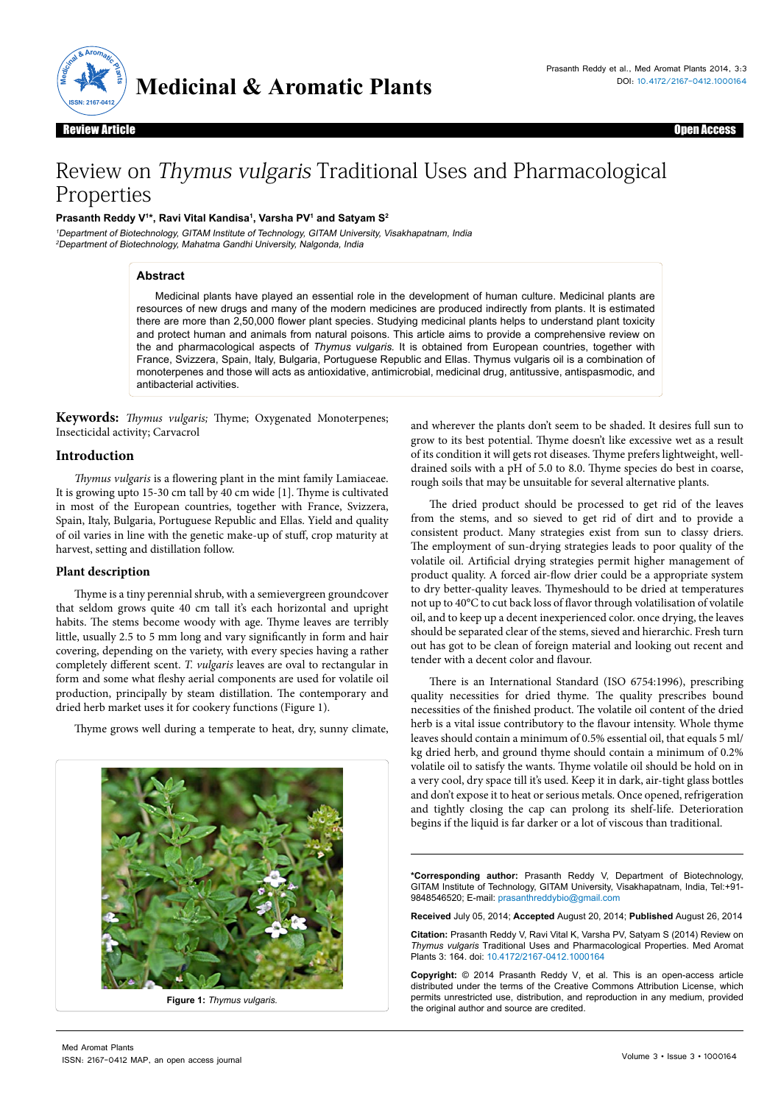

Review Article Upen Access Review Article Charles Charles and the Charles Charles Charles Charles Charles Charles Charles Charles Charles Charles Charles Charles Charles Charles Charles Charles Charles Charles Charles Charles Charles Charles Charles

# Review on Thymus vulgaris Traditional Uses and Pharmacological Properties

# **Prasanth Reddy V1 \*, Ravi Vital Kandisa1 , Varsha PV1 and Satyam S2**

<sup>1</sup>Department of Biotechnology, GITAM Institute of Technology, GITAM University, Visakhapatnam, India <sup>2</sup>Department of Biotechnology, Mahatma Gandhi University, Nalgonda, India

### **Abstract**

Medicinal plants have played an essential role in the development of human culture. Medicinal plants are resources of new drugs and many of the modern medicines are produced indirectly from plants. It is estimated there are more than 2,50,000 flower plant species. Studying medicinal plants helps to understand plant toxicity and protect human and animals from natural poisons. This article aims to provide a comprehensive review on the and pharmacological aspects of *Thymus vulgaris.* It is obtained from European countries, together with France, Svizzera, Spain, Italy, Bulgaria, Portuguese Republic and Ellas. Thymus vulgaris oil is a combination of monoterpenes and those will acts as antioxidative, antimicrobial, medicinal drug, antitussive, antispasmodic, and antibacterial activities.

**Keywords:** *Thymus vulgaris;* Thyme; Oxygenated Monoterpenes; Insecticidal activity; Carvacrol

# **Introduction**

*Thymus vulgaris* is a flowering plant in the mint family Lamiaceae. It is growing upto 15-30 cm tall by 40 cm wide [1]. Thyme is cultivated in most of the European countries, together with France, Svizzera, Spain, Italy, Bulgaria, Portuguese Republic and Ellas. Yield and quality of oil varies in line with the genetic make-up of stuff, crop maturity at harvest, setting and distillation follow.

### **Plant description**

Thyme is a tiny perennial shrub, with a semievergreen groundcover that seldom grows quite 40 cm tall it's each horizontal and upright habits. The stems become woody with age. Thyme leaves are terribly little, usually 2.5 to 5 mm long and vary significantly in form and hair covering, depending on the variety, with every species having a rather completely different scent. *T. vulgaris* leaves are oval to rectangular in form and some what fleshy aerial components are used for volatile oil production, principally by steam distillation. The contemporary and dried herb market uses it for cookery functions (Figure 1).

Thyme grows well during a temperate to heat, dry, sunny climate,



**Figure 1:** *Thymus vulgaris.*

and wherever the plants don't seem to be shaded. It desires full sun to grow to its best potential. Thyme doesn't like excessive wet as a result of its condition it will gets rot diseases. Thyme prefers lightweight, welldrained soils with a pH of 5.0 to 8.0. Thyme species do best in coarse, rough soils that may be unsuitable for several alternative plants.

The dried product should be processed to get rid of the leaves from the stems, and so sieved to get rid of dirt and to provide a consistent product. Many strategies exist from sun to classy driers. The employment of sun-drying strategies leads to poor quality of the volatile oil. Artificial drying strategies permit higher management of product quality. A forced air-flow drier could be a appropriate system to dry better-quality leaves. Thymeshould to be dried at temperatures not up to 40°C to cut back loss of flavor through volatilisation of volatile oil, and to keep up a decent inexperienced color. once drying, the leaves should be separated clear of the stems, sieved and hierarchic. Fresh turn out has got to be clean of foreign material and looking out recent and tender with a decent color and flavour.

There is an International Standard (ISO 6754:1996), prescribing quality necessities for dried thyme. The quality prescribes bound necessities of the finished product. The volatile oil content of the dried herb is a vital issue contributory to the flavour intensity. Whole thyme leaves should contain a minimum of 0.5% essential oil, that equals 5 ml/ kg dried herb, and ground thyme should contain a minimum of 0.2% volatile oil to satisfy the wants. Thyme volatile oil should be hold on in a very cool, dry space till it's used. Keep it in dark, air-tight glass bottles and don't expose it to heat or serious metals. Once opened, refrigeration and tightly closing the cap can prolong its shelf-life. Deterioration begins if the liquid is far darker or a lot of viscous than traditional.

**\*Corresponding author:** Prasanth Reddy V, Department of Biotechnology, GITAM Institute of Technology, GITAM University, Visakhapatnam, India, Tel:+91- 9848546520; E-mail: prasanthreddybio@gmail.com

**Received** July 05, 2014; **Accepted** August 20, 2014; **Published** August 26, 2014

**Citation:** Prasanth Reddy V, Ravi Vital K, Varsha PV, Satyam S (2014) Review on *Thymus vulgaris* Traditional Uses and Pharmacological Properties. Med Aromat Plants 3: 164. doi: [10.4172/2167-0412.1000164](http://dx.doi.org/10.172/2167-0412.1000164)

**Copyright:** © 2014 Prasanth Reddy V, et al. This is an open-access article distributed under the terms of the Creative Commons Attribution License, which permits unrestricted use, distribution, and reproduction in any medium, provided the original author and source are credited.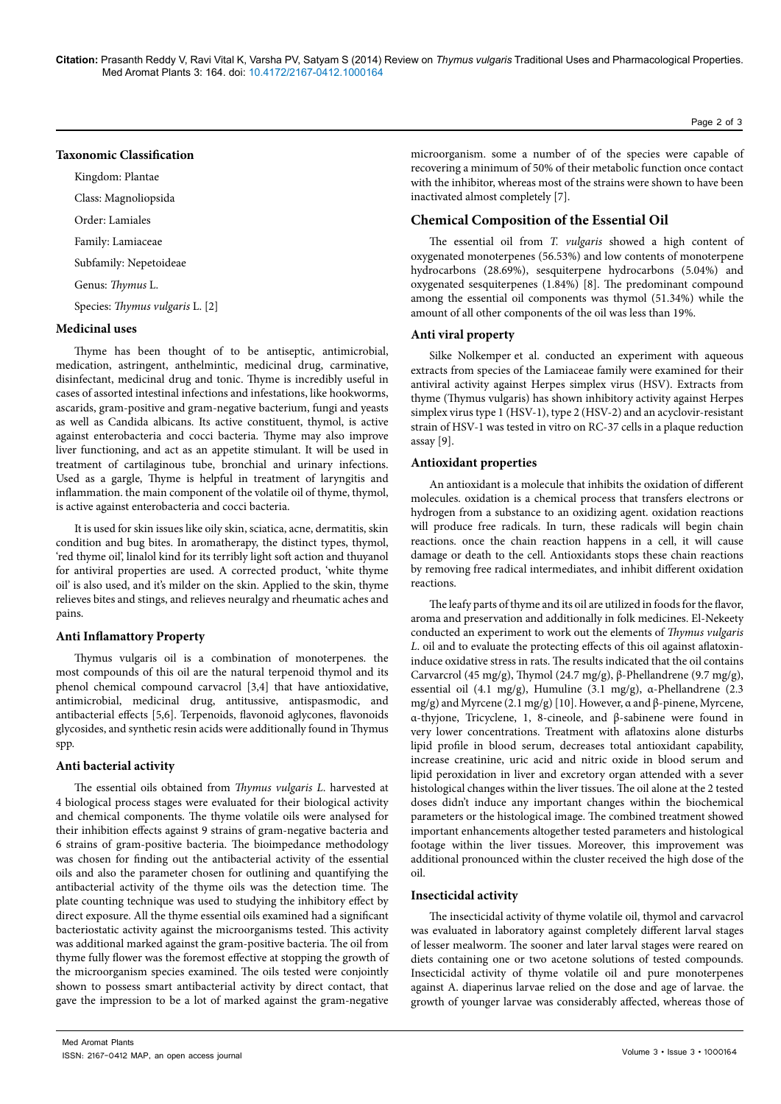**Citation:** Prasanth Reddy V, Ravi Vital K, Varsha PV, Satyam S (2014) Review on *Thymus vulgaris* Traditional Uses and Pharmacological Properties. Med Aromat Plants 3: 164. doi: 10.4172/2167-0412.1000164

# **Taxonomic Classification**

Kingdom: Plantae Class: Magnoliopsida

Order: Lamiales

Family: Lamiaceae

Subfamily: Nepetoideae

Genus: *Thymus* L.

Species: *Thymus vulgaris* L. [2]

#### **Medicinal uses**

Thyme has been thought of to be antiseptic, antimicrobial, medication, astringent, anthelmintic, medicinal drug, carminative, disinfectant, medicinal drug and tonic. Thyme is incredibly useful in cases of assorted intestinal infections and infestations, like hookworms, ascarids, gram-positive and gram-negative bacterium, fungi and yeasts as well as Candida albicans. Its active constituent, thymol, is active against enterobacteria and cocci bacteria. Thyme may also improve liver functioning, and act as an appetite stimulant. It will be used in treatment of cartilaginous tube, bronchial and urinary infections. Used as a gargle, Thyme is helpful in treatment of laryngitis and inflammation. the main component of the volatile oil of thyme, thymol, is active against enterobacteria and cocci bacteria.

It is used for skin issues like oily skin, sciatica, acne, dermatitis, skin condition and bug bites. In aromatherapy, the distinct types, thymol, 'red thyme oil', linalol kind for its terribly light soft action and thuyanol for antiviral properties are used. A corrected product, 'white thyme oil' is also used, and it's milder on the skin. Applied to the skin, thyme relieves bites and stings, and relieves neuralgy and rheumatic aches and pains.

#### **Anti Inflamattory Property**

Thymus vulgaris oil is a combination of monoterpenes. the most compounds of this oil are the natural terpenoid thymol and its phenol chemical compound carvacrol [3,4] that have antioxidative, antimicrobial, medicinal drug, antitussive, antispasmodic, and antibacterial effects [5,6]. Terpenoids, flavonoid aglycones, flavonoids glycosides, and synthetic resin acids were additionally found in Thymus spp.

### **Anti bacterial activity**

The essential oils obtained from *Thymus vulgaris L*. harvested at 4 biological process stages were evaluated for their biological activity and chemical components. The thyme volatile oils were analysed for their inhibition effects against 9 strains of gram-negative bacteria and 6 strains of gram-positive bacteria. The bioimpedance methodology was chosen for finding out the antibacterial activity of the essential oils and also the parameter chosen for outlining and quantifying the antibacterial activity of the thyme oils was the detection time. The plate counting technique was used to studying the inhibitory effect by direct exposure. All the thyme essential oils examined had a significant bacteriostatic activity against the microorganisms tested. This activity was additional marked against the gram-positive bacteria. The oil from thyme fully flower was the foremost effective at stopping the growth of the microorganism species examined. The oils tested were conjointly shown to possess smart antibacterial activity by direct contact, that gave the impression to be a lot of marked against the gram-negative

microorganism. some a number of of the species were capable of recovering a minimum of 50% of their metabolic function once contact with the inhibitor, whereas most of the strains were shown to have been inactivated almost completely [7].

# **Chemical Composition of the Essential Oil**

The essential oil from *T. vulgaris* showed a high content of oxygenated monoterpenes (56.53%) and low contents of monoterpene hydrocarbons (28.69%), sesquiterpene hydrocarbons (5.04%) and oxygenated sesquiterpenes (1.84%) [8]. The predominant compound among the essential oil components was thymol (51.34%) while the amount of all other components of the oil was less than 19%.

### **Anti viral property**

Silke Nolkemper et al. conducted an experiment with aqueous extracts from species of the Lamiaceae family were examined for their antiviral activity against Herpes simplex virus (HSV). Extracts from thyme (Thymus vulgaris) has shown inhibitory activity against Herpes simplex virus type 1 (HSV-1), type 2 (HSV-2) and an acyclovir-resistant strain of HSV-1 was tested in vitro on RC-37 cells in a plaque reduction assay [9].

#### **Antioxidant properties**

An antioxidant is a molecule that inhibits the oxidation of different molecules. oxidation is a chemical process that transfers electrons or hydrogen from a substance to an oxidizing agent. oxidation reactions will produce free radicals. In turn, these radicals will begin chain reactions. once the chain reaction happens in a cell, it will cause damage or death to the cell. Antioxidants stops these chain reactions by removing free radical intermediates, and inhibit different oxidation reactions.

The leafy parts of thyme and its oil are utilized in foods for the flavor, aroma and preservation and additionally in folk medicines. El-Nekeety conducted an experiment to work out the elements of *Thymus vulgaris L*. oil and to evaluate the protecting effects of this oil against aflatoxininduce oxidative stress in rats. The results indicated that the oil contains Carvarcrol (45 mg/g), Thymol (24.7 mg/g), β-Phellandrene (9.7 mg/g), essential oil (4.1 mg/g), Humuline (3.1 mg/g), α-Phellandrene (2.3 mg/g) and Myrcene (2.1 mg/g) [10]. However, α and β-pinene, Myrcene, α-thyjone, Tricyclene, 1, 8-cineole, and β-sabinene were found in very lower concentrations. Treatment with aflatoxins alone disturbs lipid profile in blood serum, decreases total antioxidant capability, increase creatinine, uric acid and nitric oxide in blood serum and lipid peroxidation in liver and excretory organ attended with a sever histological changes within the liver tissues. The oil alone at the 2 tested doses didn't induce any important changes within the biochemical parameters or the histological image. The combined treatment showed important enhancements altogether tested parameters and histological footage within the liver tissues. Moreover, this improvement was additional pronounced within the cluster received the high dose of the oil.

#### **Insecticidal activity**

The insecticidal activity of thyme volatile oil, thymol and carvacrol was evaluated in laboratory against completely different larval stages of lesser mealworm. The sooner and later larval stages were reared on diets containing one or two acetone solutions of tested compounds. Insecticidal activity of thyme volatile oil and pure monoterpenes against A. diaperinus larvae relied on the dose and age of larvae. the growth of younger larvae was considerably affected, whereas those of